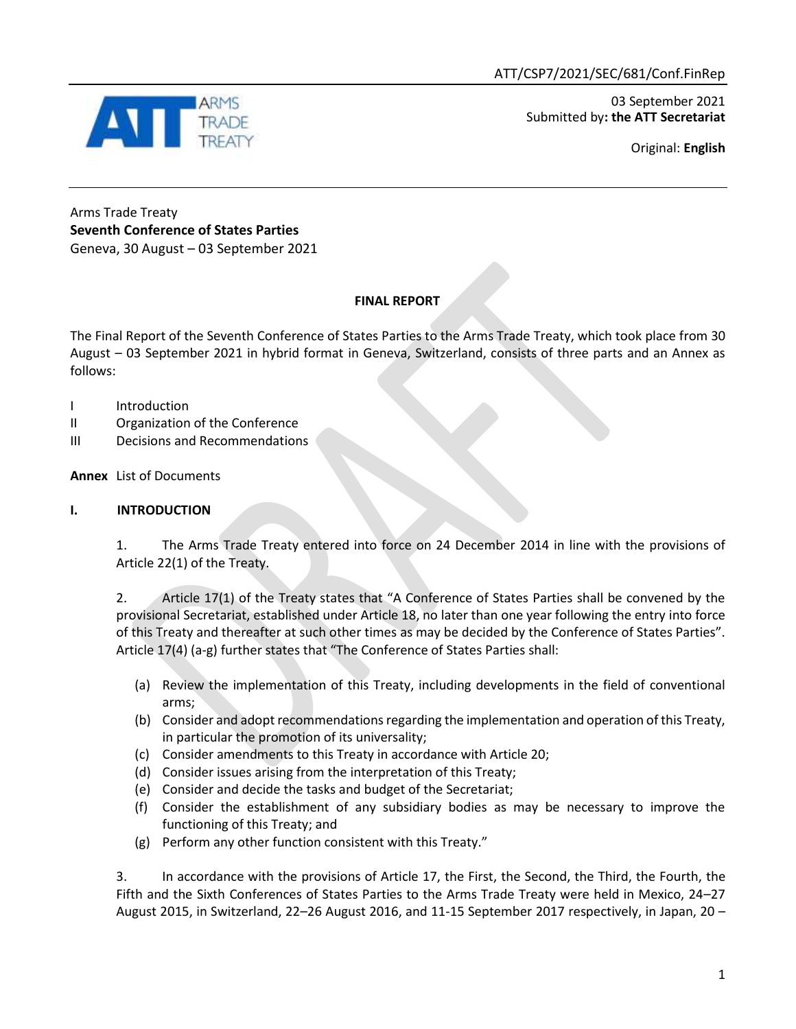03 September 2021 Submitted by**: the ATT Secretariat**

Original: **English**



### Arms Trade Treaty **Seventh Conference of States Parties** Geneva, 30 August – 03 September 2021

# **FINAL REPORT**

The Final Report of the Seventh Conference of States Parties to the Arms Trade Treaty, which took place from 30 August – 03 September 2021 in hybrid format in Geneva, Switzerland, consists of three parts and an Annex as follows:

- I Introduction
- II Organization of the Conference
- III Decisions and Recommendations

**Annex** List of Documents

## **I. INTRODUCTION**

1. The Arms Trade Treaty entered into force on 24 December 2014 in line with the provisions of Article 22(1) of the Treaty.

2. Article 17(1) of the Treaty states that "A Conference of States Parties shall be convened by the provisional Secretariat, established under Article 18, no later than one year following the entry into force of this Treaty and thereafter at such other times as may be decided by the Conference of States Parties". Article 17(4) (a-g) further states that "The Conference of States Parties shall:

- (a) Review the implementation of this Treaty, including developments in the field of conventional arms;
- (b) Consider and adopt recommendations regarding the implementation and operation of this Treaty, in particular the promotion of its universality;
- (c) Consider amendments to this Treaty in accordance with Article 20;
- (d) Consider issues arising from the interpretation of this Treaty;
- (e) Consider and decide the tasks and budget of the Secretariat;
- (f) Consider the establishment of any subsidiary bodies as may be necessary to improve the functioning of this Treaty; and
- (g) Perform any other function consistent with this Treaty."

3. In accordance with the provisions of Article 17, the First, the Second, the Third, the Fourth, the Fifth and the Sixth Conferences of States Parties to the Arms Trade Treaty were held in Mexico, 24–27 August 2015, in Switzerland, 22–26 August 2016, and 11-15 September 2017 respectively, in Japan, 20 –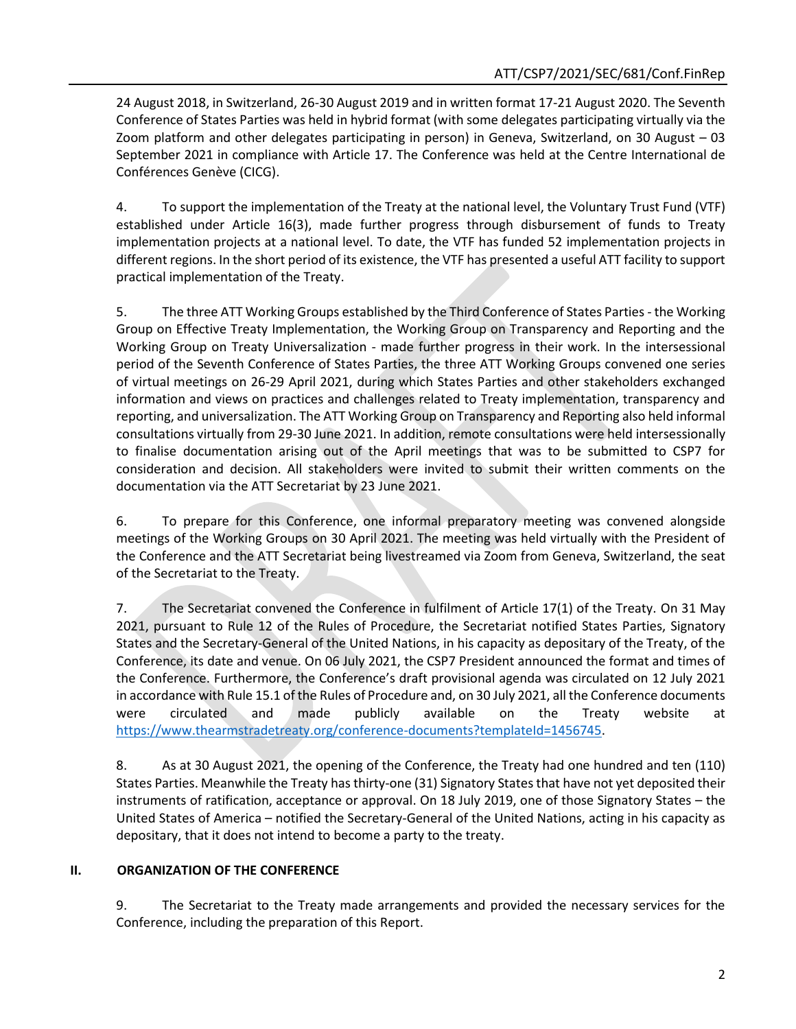24 August 2018, in Switzerland, 26-30 August 2019 and in written format 17-21 August 2020. The Seventh Conference of States Parties was held in hybrid format (with some delegates participating virtually via the Zoom platform and other delegates participating in person) in Geneva, Switzerland, on 30 August – 03 September 2021 in compliance with Article 17. The Conference was held at the Centre International de Conférences Genève (CICG).

4. To support the implementation of the Treaty at the national level, the Voluntary Trust Fund (VTF) established under Article 16(3), made further progress through disbursement of funds to Treaty implementation projects at a national level. To date, the VTF has funded 52 implementation projects in different regions. In the short period of its existence, the VTF has presented a useful ATT facility to support practical implementation of the Treaty.

5. The three ATT Working Groups established by the Third Conference of States Parties - the Working Group on Effective Treaty Implementation, the Working Group on Transparency and Reporting and the Working Group on Treaty Universalization - made further progress in their work. In the intersessional period of the Seventh Conference of States Parties, the three ATT Working Groups convened one series of virtual meetings on 26-29 April 2021, during which States Parties and other stakeholders exchanged information and views on practices and challenges related to Treaty implementation, transparency and reporting, and universalization. The ATT Working Group on Transparency and Reporting also held informal consultations virtually from 29-30 June 2021. In addition, remote consultations were held intersessionally to finalise documentation arising out of the April meetings that was to be submitted to CSP7 for consideration and decision. All stakeholders were invited to submit their written comments on the documentation via the ATT Secretariat by 23 June 2021.

6. To prepare for this Conference, one informal preparatory meeting was convened alongside meetings of the Working Groups on 30 April 2021. The meeting was held virtually with the President of the Conference and the ATT Secretariat being livestreamed via Zoom from Geneva, Switzerland, the seat of the Secretariat to the Treaty.

7. The Secretariat convened the Conference in fulfilment of Article 17(1) of the Treaty. On 31 May 2021, pursuant to Rule 12 of the Rules of Procedure, the Secretariat notified States Parties, Signatory States and the Secretary-General of the United Nations, in his capacity as depositary of the Treaty, of the Conference, its date and venue. On 06 July 2021, the CSP7 President announced the format and times of the Conference. Furthermore, the Conference's draft provisional agenda was circulated on 12 July 2021 in accordance with Rule 15.1 of the Rules of Procedure and, on 30 July 2021, all the Conference documents were circulated and made publicly available on the Treaty website at [https://www.thearmstradetreaty.org/conference-documents?templateId=1456745.](https://www.thearmstradetreaty.org/conference-documents?templateId=1456745)

8. As at 30 August 2021, the opening of the Conference, the Treaty had one hundred and ten (110) States Parties. Meanwhile the Treaty has thirty-one (31) Signatory States that have not yet deposited their instruments of ratification, acceptance or approval. On 18 July 2019, one of those Signatory States – the United States of America – notified the Secretary-General of the United Nations, acting in his capacity as depositary, that it does not intend to become a party to the treaty.

#### **II. ORGANIZATION OF THE CONFERENCE**

9. The Secretariat to the Treaty made arrangements and provided the necessary services for the Conference, including the preparation of this Report.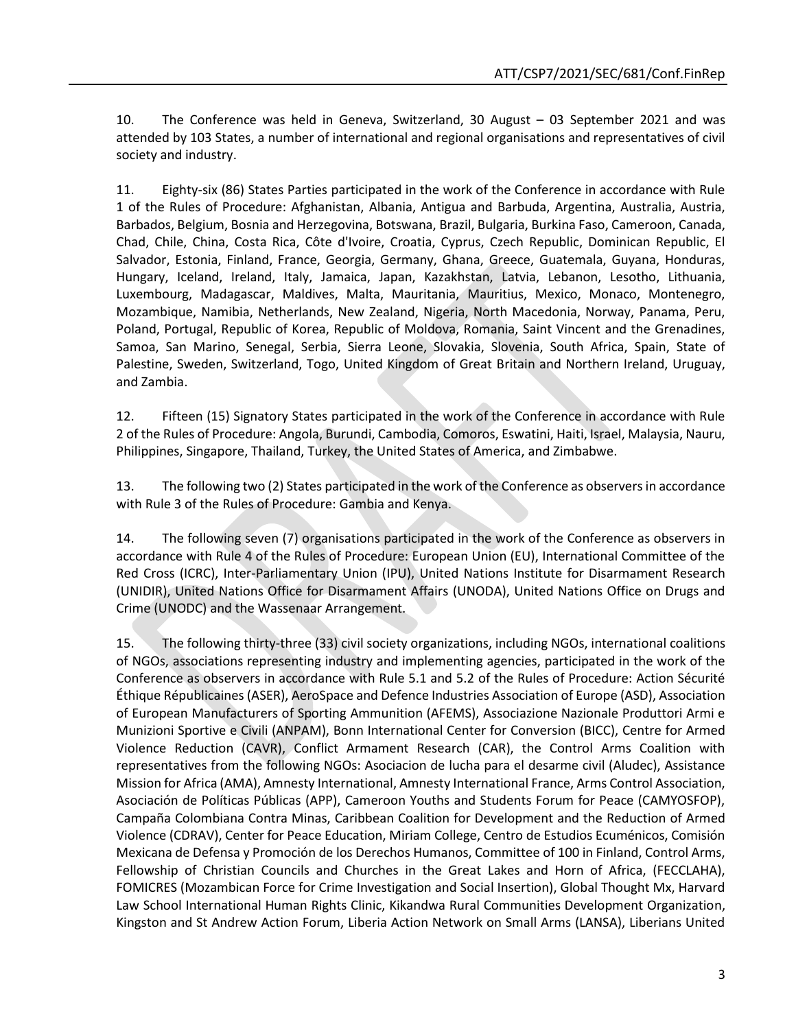10. The Conference was held in Geneva, Switzerland, 30 August – 03 September 2021 and was attended by 103 States, a number of international and regional organisations and representatives of civil society and industry.

11. Eighty-six (86) States Parties participated in the work of the Conference in accordance with Rule 1 of the Rules of Procedure: Afghanistan, Albania, Antigua and Barbuda, Argentina, Australia, Austria, Barbados, Belgium, Bosnia and Herzegovina, Botswana, Brazil, Bulgaria, Burkina Faso, Cameroon, Canada, Chad, Chile, China, Costa Rica, Côte d'Ivoire, Croatia, Cyprus, Czech Republic, Dominican Republic, El Salvador, Estonia, Finland, France, Georgia, Germany, Ghana, Greece, Guatemala, Guyana, Honduras, Hungary, Iceland, Ireland, Italy, Jamaica, Japan, Kazakhstan, Latvia, Lebanon, Lesotho, Lithuania, Luxembourg, Madagascar, Maldives, Malta, Mauritania, Mauritius, Mexico, Monaco, Montenegro, Mozambique, Namibia, Netherlands, New Zealand, Nigeria, North Macedonia, Norway, Panama, Peru, Poland, Portugal, Republic of Korea, Republic of Moldova, Romania, Saint Vincent and the Grenadines, Samoa, San Marino, Senegal, Serbia, Sierra Leone, Slovakia, Slovenia, South Africa, Spain, State of Palestine, Sweden, Switzerland, Togo, United Kingdom of Great Britain and Northern Ireland, Uruguay, and Zambia.

12. Fifteen (15) Signatory States participated in the work of the Conference in accordance with Rule 2 of the Rules of Procedure: Angola, Burundi, Cambodia, Comoros, Eswatini, Haiti, Israel, Malaysia, Nauru, Philippines, Singapore, Thailand, Turkey, the United States of America, and Zimbabwe.

13. The following two (2) States participated in the work of the Conference as observers in accordance with Rule 3 of the Rules of Procedure: Gambia and Kenya.

14. The following seven (7) organisations participated in the work of the Conference as observers in accordance with Rule 4 of the Rules of Procedure: European Union (EU), International Committee of the Red Cross (ICRC), Inter-Parliamentary Union (IPU), United Nations Institute for Disarmament Research (UNIDIR), United Nations Office for Disarmament Affairs (UNODA), United Nations Office on Drugs and Crime (UNODC) and the Wassenaar Arrangement.

15. The following thirty-three (33) civil society organizations, including NGOs, international coalitions of NGOs, associations representing industry and implementing agencies, participated in the work of the Conference as observers in accordance with Rule 5.1 and 5.2 of the Rules of Procedure: Action Sécurité Éthique Républicaines (ASER), AeroSpace and Defence Industries Association of Europe (ASD), Association of European Manufacturers of Sporting Ammunition (AFEMS), Associazione Nazionale Produttori Armi e Munizioni Sportive e Civili (ANPAM), Bonn International Center for Conversion (BICC), Centre for Armed Violence Reduction (CAVR), Conflict Armament Research (CAR), the Control Arms Coalition with representatives from the following NGOs: Asociacion de lucha para el desarme civil (Aludec), Assistance Mission for Africa (AMA), Amnesty International, Amnesty International France, Arms Control Association, Asociación de Políticas Públicas (APP), Cameroon Youths and Students Forum for Peace (CAMYOSFOP), Campaña Colombiana Contra Minas, Caribbean Coalition for Development and the Reduction of Armed Violence (CDRAV), Center for Peace Education, Miriam College, Centro de Estudios Ecuménicos, Comisión Mexicana de Defensa y Promoción de los Derechos Humanos, Committee of 100 in Finland, Control Arms, Fellowship of Christian Councils and Churches in the Great Lakes and Horn of Africa, (FECCLAHA), FOMICRES (Mozambican Force for Crime Investigation and Social Insertion), Global Thought Mx, Harvard Law School International Human Rights Clinic, Kikandwa Rural Communities Development Organization, Kingston and St Andrew Action Forum, Liberia Action Network on Small Arms (LANSA), Liberians United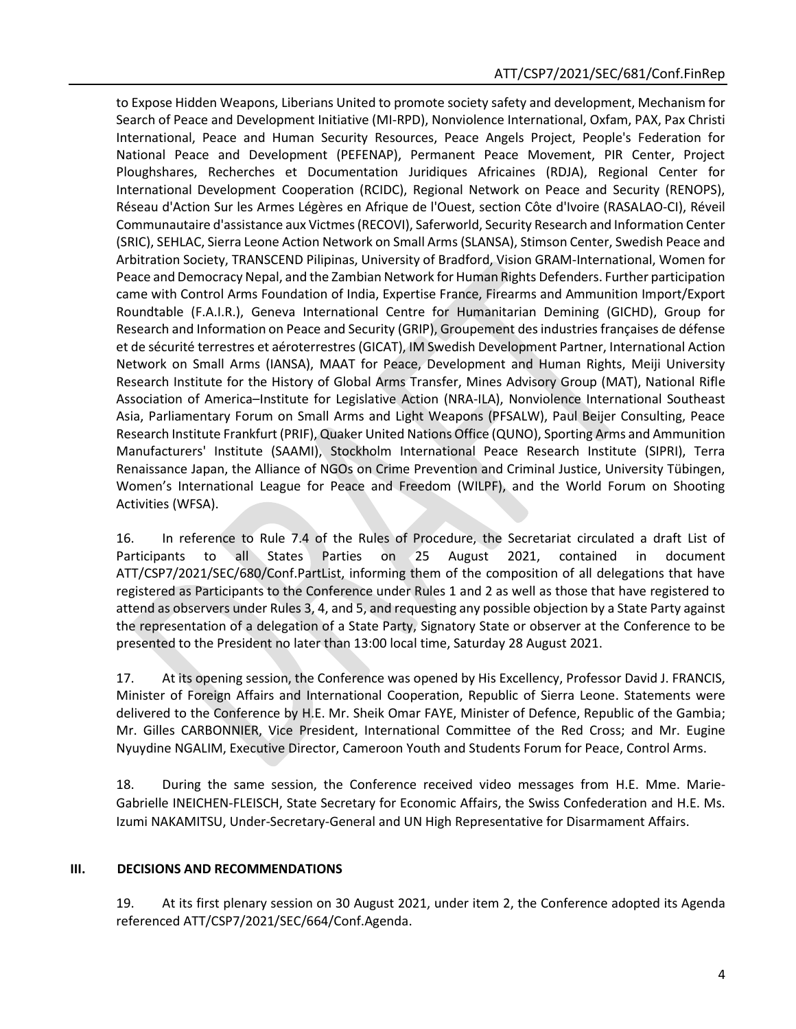to Expose Hidden Weapons, Liberians United to promote society safety and development, Mechanism for Search of Peace and Development Initiative (MI-RPD), Nonviolence International, Oxfam, PAX, Pax Christi International, Peace and Human Security Resources, Peace Angels Project, People's Federation for National Peace and Development (PEFENAP), Permanent Peace Movement, PIR Center, Project Ploughshares, Recherches et Documentation Juridiques Africaines (RDJA), Regional Center for International Development Cooperation (RCIDC), Regional Network on Peace and Security (RENOPS), Réseau d'Action Sur les Armes Légères en Afrique de l'Ouest, section Côte d'Ivoire (RASALAO-CI), Réveil Communautaire d'assistance aux Victmes (RECOVI), Saferworld, Security Research and Information Center (SRIC), SEHLAC, Sierra Leone Action Network on Small Arms (SLANSA), Stimson Center, Swedish Peace and Arbitration Society, TRANSCEND Pilipinas, University of Bradford, Vision GRAM-International, Women for Peace and Democracy Nepal, and the Zambian Network for Human Rights Defenders. Further participation came with Control Arms Foundation of India, Expertise France, Firearms and Ammunition Import/Export Roundtable (F.A.I.R.), Geneva International Centre for Humanitarian Demining (GICHD), Group for Research and Information on Peace and Security (GRIP), Groupement des industries françaises de défense et de sécurité terrestres et aéroterrestres (GICAT), IM Swedish Development Partner, International Action Network on Small Arms (IANSA), MAAT for Peace, Development and Human Rights, Meiji University Research Institute for the History of Global Arms Transfer, Mines Advisory Group (MAT), National Rifle Association of America–Institute for Legislative Action (NRA-ILA), Nonviolence International Southeast Asia, Parliamentary Forum on Small Arms and Light Weapons (PFSALW), Paul Beijer Consulting, Peace Research Institute Frankfurt (PRIF), Quaker United Nations Office (QUNO), Sporting Arms and Ammunition Manufacturers' Institute (SAAMI), Stockholm International Peace Research Institute (SIPRI), Terra Renaissance Japan, the Alliance of NGOs on Crime Prevention and Criminal Justice, University Tübingen, Women's International League for Peace and Freedom (WILPF), and the World Forum on Shooting Activities (WFSA).

16. In reference to Rule 7.4 of the Rules of Procedure, the Secretariat circulated a draft List of Participants to all States Parties on 25 August 2021, contained in document ATT/CSP7/2021/SEC/680/Conf.PartList, informing them of the composition of all delegations that have registered as Participants to the Conference under Rules 1 and 2 as well as those that have registered to attend as observers under Rules 3, 4, and 5, and requesting any possible objection by a State Party against the representation of a delegation of a State Party, Signatory State or observer at the Conference to be presented to the President no later than 13:00 local time, Saturday 28 August 2021.

17. At its opening session, the Conference was opened by His Excellency, Professor David J. FRANCIS, Minister of Foreign Affairs and International Cooperation, Republic of Sierra Leone. Statements were delivered to the Conference by H.E. Mr. Sheik Omar FAYE, Minister of Defence, Republic of the Gambia; Mr. Gilles CARBONNIER, Vice President, International Committee of the Red Cross; and Mr. Eugine Nyuydine NGALIM, Executive Director, Cameroon Youth and Students Forum for Peace, Control Arms.

18. During the same session, the Conference received video messages from H.E. Mme. Marie-Gabrielle INEICHEN-FLEISCH, State Secretary for Economic Affairs, the Swiss Confederation and H.E. Ms. Izumi NAKAMITSU, Under-Secretary-General and UN High Representative for Disarmament Affairs.

#### **III. DECISIONS AND RECOMMENDATIONS**

19. At its first plenary session on 30 August 2021, under item 2, the Conference adopted its Agenda referenced ATT/CSP7/2021/SEC/664/Conf.Agenda.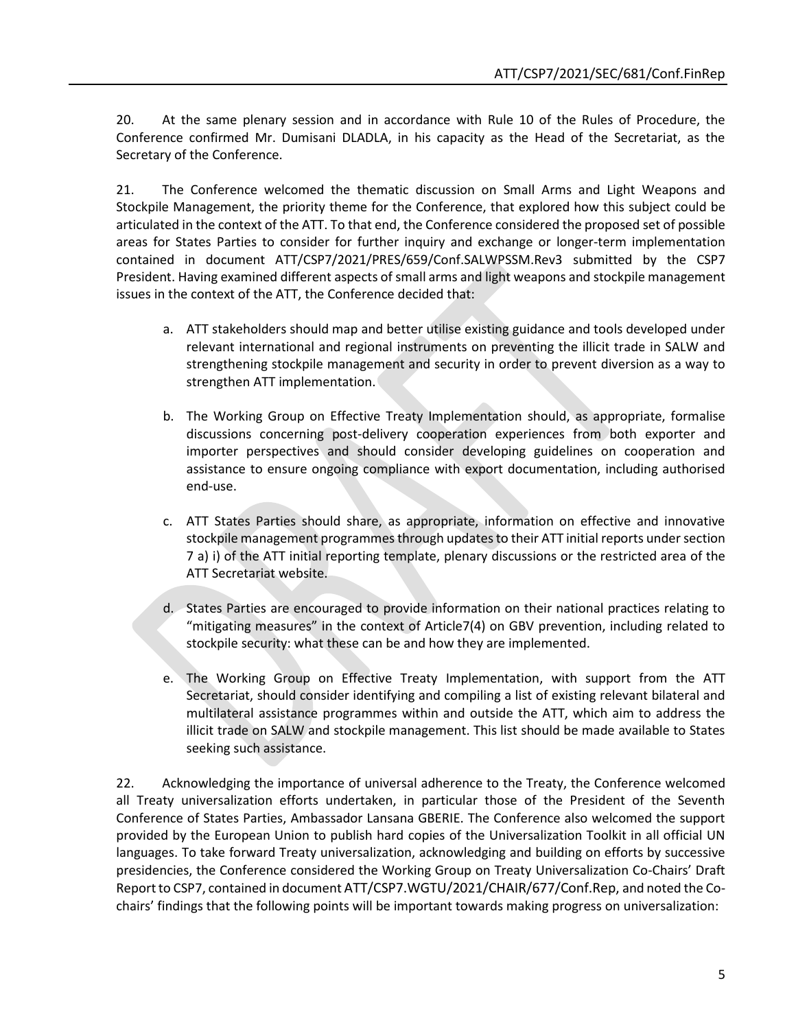20. At the same plenary session and in accordance with Rule 10 of the Rules of Procedure, the Conference confirmed Mr. Dumisani DLADLA, in his capacity as the Head of the Secretariat, as the Secretary of the Conference.

21. The Conference welcomed the thematic discussion on Small Arms and Light Weapons and Stockpile Management, the priority theme for the Conference, that explored how this subject could be articulated in the context of the ATT. To that end, the Conference considered the proposed set of possible areas for States Parties to consider for further inquiry and exchange or longer-term implementation contained in document ATT/CSP7/2021/PRES/659/Conf.SALWPSSM.Rev3 submitted by the CSP7 President. Having examined different aspects of small arms and light weapons and stockpile management issues in the context of the ATT, the Conference decided that:

- a. ATT stakeholders should map and better utilise existing guidance and tools developed under relevant international and regional instruments on preventing the illicit trade in SALW and strengthening stockpile management and security in order to prevent diversion as a way to strengthen ATT implementation.
- b. The Working Group on Effective Treaty Implementation should, as appropriate, formalise discussions concerning post-delivery cooperation experiences from both exporter and importer perspectives and should consider developing guidelines on cooperation and assistance to ensure ongoing compliance with export documentation, including authorised end-use.
- c. ATT States Parties should share, as appropriate, information on effective and innovative stockpile management programmes through updates to their ATT initial reports under section 7 a) i) of the ATT initial reporting template, plenary discussions or the restricted area of the ATT Secretariat website.
- d. States Parties are encouraged to provide information on their national practices relating to "mitigating measures" in the context of Article7(4) on GBV prevention, including related to stockpile security: what these can be and how they are implemented.
- e. The Working Group on Effective Treaty Implementation, with support from the ATT Secretariat, should consider identifying and compiling a list of existing relevant bilateral and multilateral assistance programmes within and outside the ATT, which aim to address the illicit trade on SALW and stockpile management. This list should be made available to States seeking such assistance.

22. Acknowledging the importance of universal adherence to the Treaty, the Conference welcomed all Treaty universalization efforts undertaken, in particular those of the President of the Seventh Conference of States Parties, Ambassador Lansana GBERIE. The Conference also welcomed the support provided by the European Union to publish hard copies of the Universalization Toolkit in all official UN languages. To take forward Treaty universalization, acknowledging and building on efforts by successive presidencies, the Conference considered the Working Group on Treaty Universalization Co-Chairs' Draft Report to CSP7, contained in document ATT/CSP7.WGTU/2021/CHAIR/677/Conf.Rep, and noted the Cochairs' findings that the following points will be important towards making progress on universalization: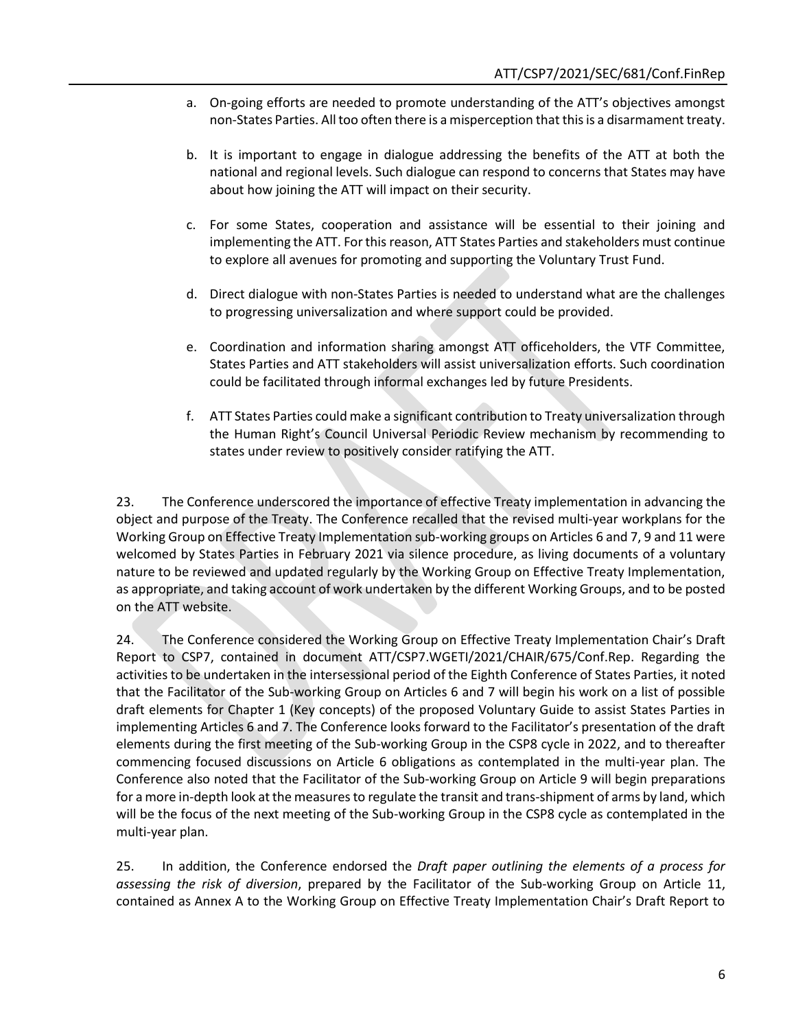- a. On-going efforts are needed to promote understanding of the ATT's objectives amongst non-States Parties. All too often there is a misperception that this is a disarmament treaty.
- b. It is important to engage in dialogue addressing the benefits of the ATT at both the national and regional levels. Such dialogue can respond to concerns that States may have about how joining the ATT will impact on their security.
- c. For some States, cooperation and assistance will be essential to their joining and implementing the ATT. For this reason, ATT States Parties and stakeholders must continue to explore all avenues for promoting and supporting the Voluntary Trust Fund.
- d. Direct dialogue with non-States Parties is needed to understand what are the challenges to progressing universalization and where support could be provided.
- e. Coordination and information sharing amongst ATT officeholders, the VTF Committee, States Parties and ATT stakeholders will assist universalization efforts. Such coordination could be facilitated through informal exchanges led by future Presidents.
- f. ATT States Parties could make a significant contribution to Treaty universalization through the Human Right's Council Universal Periodic Review mechanism by recommending to states under review to positively consider ratifying the ATT.

23. The Conference underscored the importance of effective Treaty implementation in advancing the object and purpose of the Treaty. The Conference recalled that the revised multi-year workplans for the Working Group on Effective Treaty Implementation sub-working groups on Articles 6 and 7, 9 and 11 were welcomed by States Parties in February 2021 via silence procedure, as living documents of a voluntary nature to be reviewed and updated regularly by the Working Group on Effective Treaty Implementation, as appropriate, and taking account of work undertaken by the different Working Groups, and to be posted on the ATT website.

24. The Conference considered the Working Group on Effective Treaty Implementation Chair's Draft Report to CSP7, contained in document ATT/CSP7.WGETI/2021/CHAIR/675/Conf.Rep. Regarding the activities to be undertaken in the intersessional period of the Eighth Conference of States Parties, it noted that the Facilitator of the Sub-working Group on Articles 6 and 7 will begin his work on a list of possible draft elements for Chapter 1 (Key concepts) of the proposed Voluntary Guide to assist States Parties in implementing Articles 6 and 7. The Conference looks forward to the Facilitator's presentation of the draft elements during the first meeting of the Sub-working Group in the CSP8 cycle in 2022, and to thereafter commencing focused discussions on Article 6 obligations as contemplated in the multi-year plan. The Conference also noted that the Facilitator of the Sub-working Group on Article 9 will begin preparations for a more in-depth look at the measures to regulate the transit and trans-shipment of arms by land, which will be the focus of the next meeting of the Sub-working Group in the CSP8 cycle as contemplated in the multi-year plan.

25. In addition, the Conference endorsed the *Draft paper outlining the elements of a process for assessing the risk of diversion*, prepared by the Facilitator of the Sub-working Group on Article 11, contained as Annex A to the Working Group on Effective Treaty Implementation Chair's Draft Report to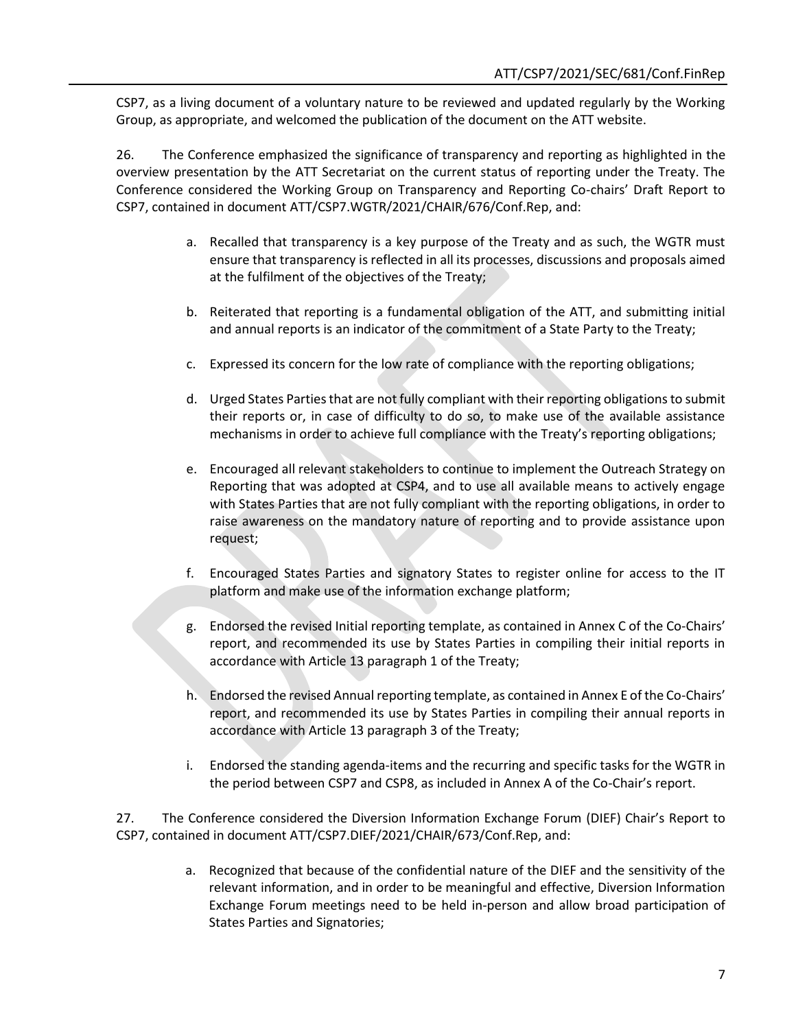CSP7, as a living document of a voluntary nature to be reviewed and updated regularly by the Working Group, as appropriate, and welcomed the publication of the document on the ATT website.

26. The Conference emphasized the significance of transparency and reporting as highlighted in the overview presentation by the ATT Secretariat on the current status of reporting under the Treaty. The Conference considered the Working Group on Transparency and Reporting Co-chairs' Draft Report to CSP7, contained in document ATT/CSP7.WGTR/2021/CHAIR/676/Conf.Rep, and:

- a. Recalled that transparency is a key purpose of the Treaty and as such, the WGTR must ensure that transparency is reflected in all its processes, discussions and proposals aimed at the fulfilment of the objectives of the Treaty;
- b. Reiterated that reporting is a fundamental obligation of the ATT, and submitting initial and annual reports is an indicator of the commitment of a State Party to the Treaty;
- c. Expressed its concern for the low rate of compliance with the reporting obligations;
- d. Urged States Parties that are not fully compliant with their reporting obligations to submit their reports or, in case of difficulty to do so, to make use of the available assistance mechanisms in order to achieve full compliance with the Treaty's reporting obligations;
- e. Encouraged all relevant stakeholders to continue to implement the Outreach Strategy on Reporting that was adopted at CSP4, and to use all available means to actively engage with States Parties that are not fully compliant with the reporting obligations, in order to raise awareness on the mandatory nature of reporting and to provide assistance upon request;
- f. Encouraged States Parties and signatory States to register online for access to the IT platform and make use of the information exchange platform;
- g. Endorsed the revised Initial reporting template, as contained in Annex C of the Co-Chairs' report, and recommended its use by States Parties in compiling their initial reports in accordance with Article 13 paragraph 1 of the Treaty;
- h. Endorsed the revised Annual reporting template, as contained in Annex E of the Co-Chairs' report, and recommended its use by States Parties in compiling their annual reports in accordance with Article 13 paragraph 3 of the Treaty;
- i. Endorsed the standing agenda-items and the recurring and specific tasks for the WGTR in the period between CSP7 and CSP8, as included in Annex A of the Co-Chair's report.

27. The Conference considered the Diversion Information Exchange Forum (DIEF) Chair's Report to CSP7, contained in document ATT/CSP7.DIEF/2021/CHAIR/673/Conf.Rep, and:

> a. Recognized that because of the confidential nature of the DIEF and the sensitivity of the relevant information, and in order to be meaningful and effective, Diversion Information Exchange Forum meetings need to be held in-person and allow broad participation of States Parties and Signatories;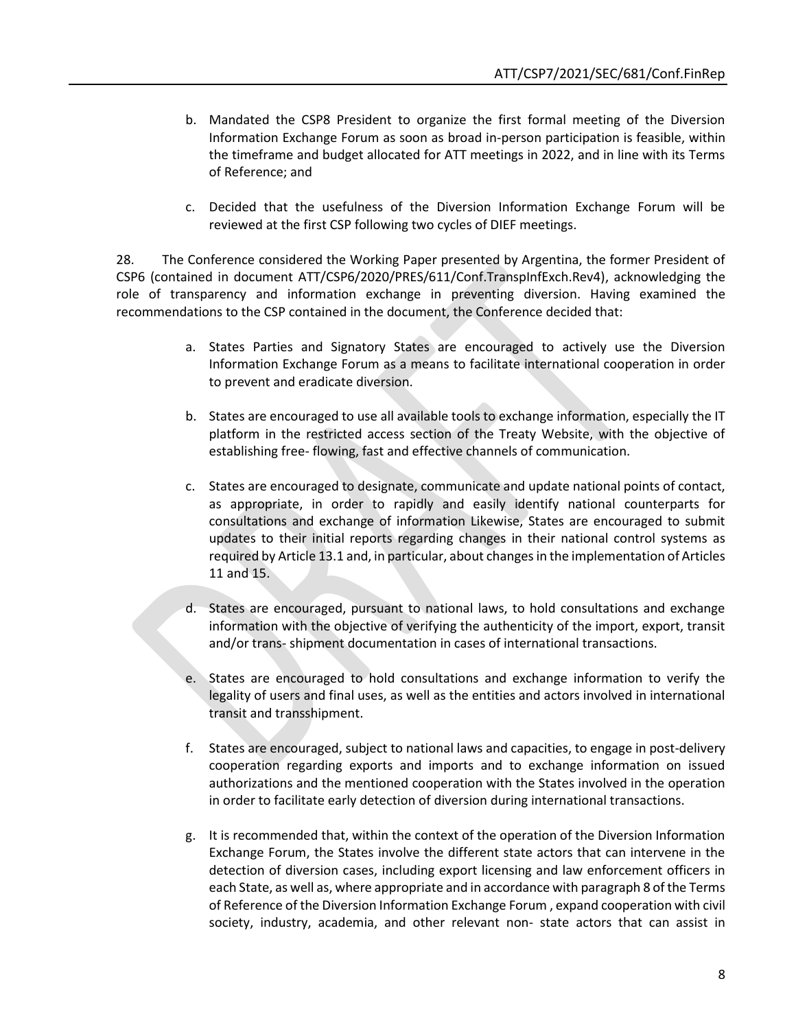- b. Mandated the CSP8 President to organize the first formal meeting of the Diversion Information Exchange Forum as soon as broad in-person participation is feasible, within the timeframe and budget allocated for ATT meetings in 2022, and in line with its Terms of Reference; and
- c. Decided that the usefulness of the Diversion Information Exchange Forum will be reviewed at the first CSP following two cycles of DIEF meetings.

28. The Conference considered the Working Paper presented by Argentina, the former President of CSP6 (contained in document ATT/CSP6/2020/PRES/611/Conf.TranspInfExch.Rev4), acknowledging the role of transparency and information exchange in preventing diversion. Having examined the recommendations to the CSP contained in the document, the Conference decided that:

- a. States Parties and Signatory States are encouraged to actively use the Diversion Information Exchange Forum as a means to facilitate international cooperation in order to prevent and eradicate diversion.
- b. States are encouraged to use all available tools to exchange information, especially the IT platform in the restricted access section of the Treaty Website, with the objective of establishing free- flowing, fast and effective channels of communication.
- c. States are encouraged to designate, communicate and update national points of contact, as appropriate, in order to rapidly and easily identify national counterparts for consultations and exchange of information Likewise, States are encouraged to submit updates to their initial reports regarding changes in their national control systems as required by Article 13.1 and, in particular, about changes in the implementation of Articles 11 and 15.
- d. States are encouraged, pursuant to national laws, to hold consultations and exchange information with the objective of verifying the authenticity of the import, export, transit and/or trans- shipment documentation in cases of international transactions.
- e. States are encouraged to hold consultations and exchange information to verify the legality of users and final uses, as well as the entities and actors involved in international transit and transshipment.
- f. States are encouraged, subject to national laws and capacities, to engage in post-delivery cooperation regarding exports and imports and to exchange information on issued authorizations and the mentioned cooperation with the States involved in the operation in order to facilitate early detection of diversion during international transactions.
- g. It is recommended that, within the context of the operation of the Diversion Information Exchange Forum, the States involve the different state actors that can intervene in the detection of diversion cases, including export licensing and law enforcement officers in each State, as well as, where appropriate and in accordance with paragraph 8 of the Terms of Reference of the Diversion Information Exchange Forum , expand cooperation with civil society, industry, academia, and other relevant non- state actors that can assist in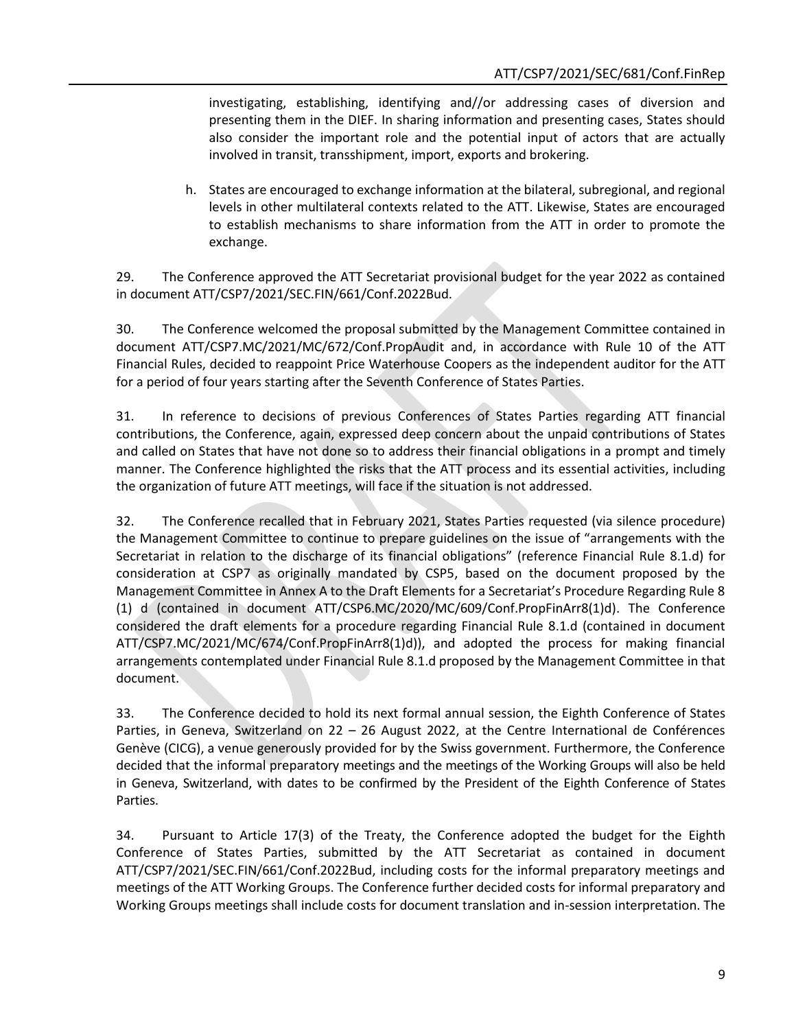investigating, establishing, identifying and//or addressing cases of diversion and presenting them in the DIEF. In sharing information and presenting cases, States should also consider the important role and the potential input of actors that are actually involved in transit, transshipment, import, exports and brokering.

h. States are encouraged to exchange information at the bilateral, subregional, and regional levels in other multilateral contexts related to the ATT. Likewise, States are encouraged to establish mechanisms to share information from the ATT in order to promote the exchange.

29. The Conference approved the ATT Secretariat provisional budget for the year 2022 as contained in document ATT/CSP7/2021/SEC.FIN/661/Conf.2022Bud.

30. The Conference welcomed the proposal submitted by the Management Committee contained in document ATT/CSP7.MC/2021/MC/672/Conf.PropAudit and, in accordance with Rule 10 of the ATT Financial Rules, decided to reappoint Price Waterhouse Coopers as the independent auditor for the ATT for a period of four years starting after the Seventh Conference of States Parties.

31. In reference to decisions of previous Conferences of States Parties regarding ATT financial contributions, the Conference, again, expressed deep concern about the unpaid contributions of States and called on States that have not done so to address their financial obligations in a prompt and timely manner. The Conference highlighted the risks that the ATT process and its essential activities, including the organization of future ATT meetings, will face if the situation is not addressed.

32. The Conference recalled that in February 2021, States Parties requested (via silence procedure) the Management Committee to continue to prepare guidelines on the issue of "arrangements with the Secretariat in relation to the discharge of its financial obligations" (reference Financial Rule 8.1.d) for consideration at CSP7 as originally mandated by CSP5, based on the document proposed by the Management Committee in Annex A to the Draft Elements for a Secretariat's Procedure Regarding Rule 8 (1) d (contained in document ATT/CSP6.MC/2020/MC/609/Conf.PropFinArr8(1)d). The Conference considered the draft elements for a procedure regarding Financial Rule 8.1.d (contained in document ATT/CSP7.MC/2021/MC/674/Conf.PropFinArr8(1)d)), and adopted the process for making financial arrangements contemplated under Financial Rule 8.1.d proposed by the Management Committee in that document.

33. The Conference decided to hold its next formal annual session, the Eighth Conference of States Parties, in Geneva, Switzerland on 22 – 26 August 2022, at the Centre International de Conférences Genève (CICG), a venue generously provided for by the Swiss government. Furthermore, the Conference decided that the informal preparatory meetings and the meetings of the Working Groups will also be held in Geneva, Switzerland, with dates to be confirmed by the President of the Eighth Conference of States Parties.

34. Pursuant to Article 17(3) of the Treaty, the Conference adopted the budget for the Eighth Conference of States Parties, submitted by the ATT Secretariat as contained in document ATT/CSP7/2021/SEC.FIN/661/Conf.2022Bud, including costs for the informal preparatory meetings and meetings of the ATT Working Groups. The Conference further decided costs for informal preparatory and Working Groups meetings shall include costs for document translation and in-session interpretation. The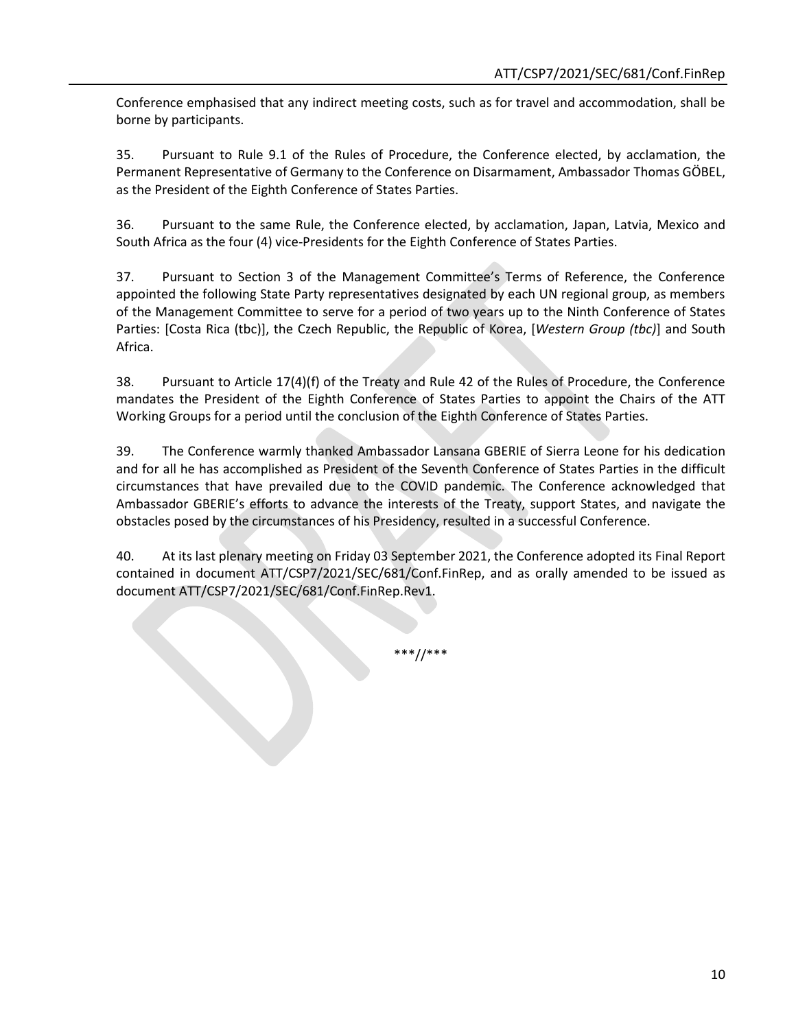Conference emphasised that any indirect meeting costs, such as for travel and accommodation, shall be borne by participants.

35. Pursuant to Rule 9.1 of the Rules of Procedure, the Conference elected, by acclamation, the Permanent Representative of Germany to the Conference on Disarmament, Ambassador Thomas GÖBEL, as the President of the Eighth Conference of States Parties.

36. Pursuant to the same Rule, the Conference elected, by acclamation, Japan, Latvia, Mexico and South Africa as the four (4) vice-Presidents for the Eighth Conference of States Parties.

37. Pursuant to Section 3 of the Management Committee's Terms of Reference, the Conference appointed the following State Party representatives designated by each UN regional group, as members of the Management Committee to serve for a period of two years up to the Ninth Conference of States Parties: [Costa Rica (tbc)], the Czech Republic, the Republic of Korea, [*Western Group (tbc)*] and South Africa.

38. Pursuant to Article 17(4)(f) of the Treaty and Rule 42 of the Rules of Procedure, the Conference mandates the President of the Eighth Conference of States Parties to appoint the Chairs of the ATT Working Groups for a period until the conclusion of the Eighth Conference of States Parties.

39. The Conference warmly thanked Ambassador Lansana GBERIE of Sierra Leone for his dedication and for all he has accomplished as President of the Seventh Conference of States Parties in the difficult circumstances that have prevailed due to the COVID pandemic. The Conference acknowledged that Ambassador GBERIE's efforts to advance the interests of the Treaty, support States, and navigate the obstacles posed by the circumstances of his Presidency, resulted in a successful Conference.

40. At its last plenary meeting on Friday 03 September 2021, the Conference adopted its Final Report contained in document ATT/CSP7/2021/SEC/681/Conf.FinRep, and as orally amended to be issued as document ATT/CSP7/2021/SEC/681/Conf.FinRep.Rev1.

\*\*\*//\*\*\*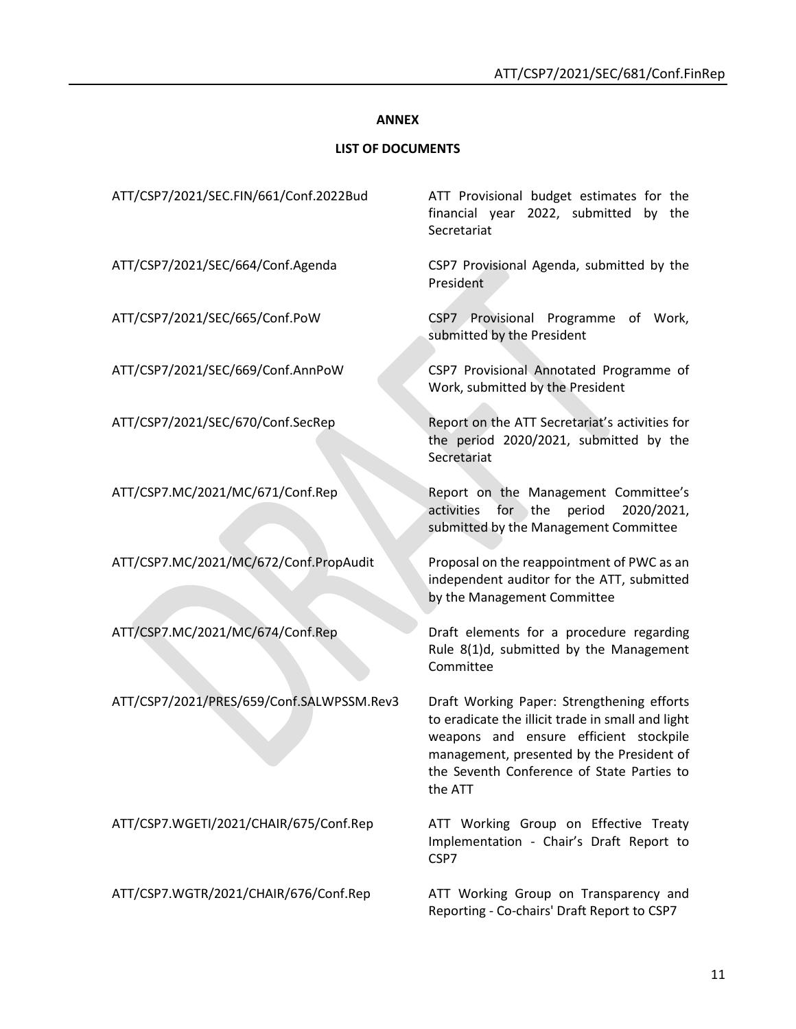#### **ANNEX**

#### **LIST OF DOCUMENTS**

ATT/CSP7.MC/2021/MC/672/Conf.PropAudit Proposal on the reappointment of PWC as an

ATT/CSP7/2021/PRES/659/Conf.SALWPSSM.Rev3 Draft Working Paper: Strengthening efforts

ATT/CSP7.WGETI/2021/CHAIR/675/Conf.Rep ATT Working Group on Effective Treaty

ATT/CSP7.WGTR/2021/CHAIR/676/Conf.Rep ATT Working Group on Transparency and

ATT/CSP7/2021/SEC.FIN/661/Conf.2022Bud ATT Provisional budget estimates for the financial year 2022, submitted by the Secretariat

ATT/CSP7/2021/SEC/664/Conf.Agenda CSP7 Provisional Agenda, submitted by the President

ATT/CSP7/2021/SEC/665/Conf.PoW CSP7 Provisional Programme of Work, submitted by the President

ATT/CSP7/2021/SEC/669/Conf.AnnPoW CSP7 Provisional Annotated Programme of Work, submitted by the President

ATT/CSP7/2021/SEC/670/Conf.SecRep Report on the ATT Secretariat's activities for the period 2020/2021, submitted by the Secretariat

ATT/CSP7.MC/2021/MC/671/Conf.Rep Report on the Management Committee's activities for the period 2020/2021, submitted by the Management Committee

> independent auditor for the ATT, submitted by the Management Committee

ATT/CSP7.MC/2021/MC/674/Conf.Rep Draft elements for a procedure regarding Rule 8(1)d, submitted by the Management Committee

> to eradicate the illicit trade in small and light weapons and ensure efficient stockpile management, presented by the President of the Seventh Conference of State Parties to the ATT

> Implementation - Chair's Draft Report to CSP7

> Reporting - Co-chairs' Draft Report to CSP7